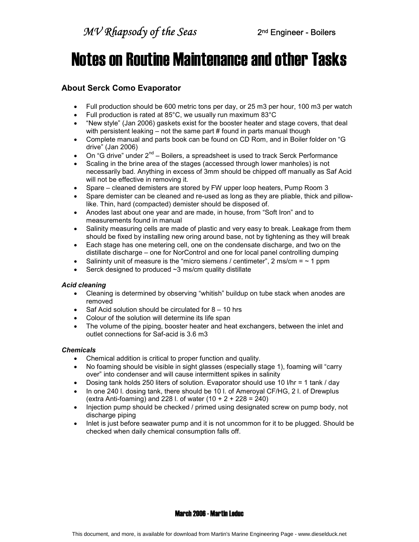# Notes on Routine Maintenance and other Tasks

### About Serck Como Evaporator

- Full production should be 600 metric tons per day, or 25 m3 per hour, 100 m3 per watch
- Full production is rated at 85°C, we usually run maximum 83°C
- "New style" (Jan 2006) gaskets exist for the booster heater and stage covers, that deal with persistent leaking – not the same part # found in parts manual though
- Complete manual and parts book can be found on CD Rom, and in Boiler folder on "G drive" (Jan 2006)
- On "G drive" under  $2^{nd}$  Boilers, a spreadsheet is used to track Serck Performance
- Scaling in the brine area of the stages (accessed through lower manholes) is not necessarily bad. Anything in excess of 3mm should be chipped off manually as Saf Acid will not be effective in removing it.
- Spare cleaned demisters are stored by FW upper loop heaters, Pump Room 3
- Spare demister can be cleaned and re-used as long as they are pliable, thick and pillowlike. Thin, hard (compacted) demister should be disposed of.
- Anodes last about one year and are made, in house, from "Soft Iron" and to measurements found in manual
- Salinity measuring cells are made of plastic and very easy to break. Leakage from them should be fixed by installing new oring around base, not by tightening as they will break
- Each stage has one metering cell, one on the condensate discharge, and two on the distillate discharge – one for NorControl and one for local panel controlling dumping
- Salininty unit of measure is the "micro siemens / centimeter", 2 ms/cm =  $\sim$  1 ppm
- $\bullet$  Serck designed to produced  $\sim$ 3 ms/cm quality distillate

### Acid cleaning

- Cleaning is determined by observing "whitish" buildup on tube stack when anodes are removed
- $\bullet$  Saf Acid solution should be circulated for 8 10 hrs
- Colour of the solution will determine its life span
- The volume of the piping, booster heater and heat exchangers, between the inlet and outlet connections for Saf-acid is 3.6 m3

### **Chemicals**

- Chemical addition is critical to proper function and quality.
- No foaming should be visible in sight glasses (especially stage 1), foaming will "carry over" into condenser and will cause intermittent spikes in salinity
- Dosing tank holds 250 liters of solution. Evaporator should use 10 l/hr = 1 tank / day
- In one 240 l. dosing tank, there should be 10 l. of Ameroyal CF/HG, 2 l. of Drewplus (extra Anti-foaming) and 228 l. of water (10 + 2 + 228 = 240)
- Injection pump should be checked / primed using designated screw on pump body, not discharge piping
- Inlet is just before seawater pump and it is not uncommon for it to be plugged. Should be checked when daily chemical consumption falls off.

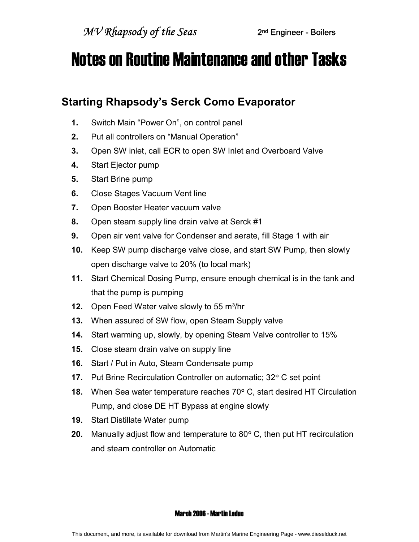## Notes on Routine Maintenance and other Tasks

## Starting Rhapsody's Serck Como Evaporator

- 1. Switch Main "Power On", on control panel
- 2. Put all controllers on "Manual Operation"
- 3. Open SW inlet, call ECR to open SW Inlet and Overboard Valve
- 4. Start Ejector pump
- 5. Start Brine pump
- 6. Close Stages Vacuum Vent line
- 7. Open Booster Heater vacuum valve
- 8. Open steam supply line drain valve at Serck #1
- **9.** Open air vent valve for Condenser and aerate, fill Stage 1 with air
- 10. Keep SW pump discharge valve close, and start SW Pump, then slowly open discharge valve to 20% (to local mark)
- 11. Start Chemical Dosing Pump, ensure enough chemical is in the tank and that the pump is pumping
- 12. Open Feed Water valve slowly to 55  $m^3/hr$
- 13. When assured of SW flow, open Steam Supply valve
- 14. Start warming up, slowly, by opening Steam Valve controller to 15%
- 15. Close steam drain valve on supply line
- 16. Start / Put in Auto, Steam Condensate pump
- 17. Put Brine Recirculation Controller on automatic; 32° C set point
- 18. When Sea water temperature reaches 70° C, start desired HT Circulation Pump, and close DE HT Bypass at engine slowly
- 19. Start Distillate Water pump
- **20.** Manually adjust flow and temperature to  $80^{\circ}$  C, then put HT recirculation and steam controller on Automatic

### March 2006 - Martin Leduc